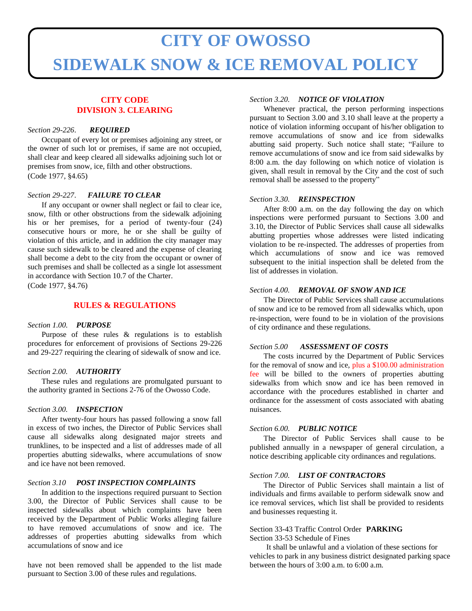# **CITY OF OWOSSO SIDEWALK SNOW & ICE REMOVAL POLICY**

#### **CITY CODE DIVISION 3. CLEARING**

#### *Section 29-226*. *REQUIRED*

Occupant of every lot or premises adjoining any street, or the owner of such lot or premises, if same are not occupied, shall clear and keep cleared all sidewalks adjoining such lot or premises from snow, ice, filth and other obstructions. (Code 1977, §4.65)

#### *Section 29-227*. *FAILURE TO CLEAR*

If any occupant or owner shall neglect or fail to clear ice, snow, filth or other obstructions from the sidewalk adjoining his or her premises, for a period of twenty-four (24) consecutive hours or more, he or she shall be guilty of violation of this article, and in addition the city manager may cause such sidewalk to be cleared and the expense of clearing shall become a debt to the city from the occupant or owner of such premises and shall be collected as a single lot assessment in accordance with Section 10.7 of the Charter.

(Code 1977, §4.76)

#### **RULES & REGULATIONS**

#### *Section 1.00. PURPOSE*

Purpose of these rules & regulations is to establish procedures for enforcement of provisions of Sections 29-226 and 29-227 requiring the clearing of sidewalk of snow and ice.

#### *Section 2.00. AUTHORITY*

These rules and regulations are promulgated pursuant to the authority granted in Sections 2-76 of the Owosso Code.

#### *Section 3.00. INSPECTION*

After twenty-four hours has passed following a snow fall in excess of two inches, the Director of Public Services shall cause all sidewalks along designated major streets and trunklines, to be inspected and a list of addresses made of all properties abutting sidewalks, where accumulations of snow and ice have not been removed.

#### *Section 3.10 POST INSPECTION COMPLAINTS*

In addition to the inspections required pursuant to Section 3.00, the Director of Public Services shall cause to be inspected sidewalks about which complaints have been received by the Department of Public Works alleging failure to have removed accumulations of snow and ice. The addresses of properties abutting sidewalks from which accumulations of snow and ice

have not been removed shall be appended to the list made pursuant to Section 3.00 of these rules and regulations.

#### *Section 3.20. NOTICE OF VIOLATION*

Whenever practical, the person performing inspections pursuant to Section 3.00 and 3.10 shall leave at the property a notice of violation informing occupant of his/her obligation to remove accumulations of snow and ice from sidewalks abutting said property. Such notice shall state; "Failure to remove accumulations of snow and ice from said sidewalks by 8:00 a.m. the day following on which notice of violation is given, shall result in removal by the City and the cost of such removal shall be assessed to the property"

#### *Section 3.30. REINSPECTION*

After 8:00 a.m. on the day following the day on which inspections were performed pursuant to Sections 3.00 and 3.10, the Director of Public Services shall cause all sidewalks abutting properties whose addresses were listed indicating violation to be re-inspected. The addresses of properties from which accumulations of snow and ice was removed subsequent to the initial inspection shall be deleted from the list of addresses in violation.

#### *Section 4.00. REMOVAL OF SNOW AND ICE*

The Director of Public Services shall cause accumulations of snow and ice to be removed from all sidewalks which, upon re-inspection, were found to be in violation of the provisions of city ordinance and these regulations.

#### *Section 5.00 ASSESSMENT OF COSTS*

The costs incurred by the Department of Public Services for the removal of snow and ice, plus a \$100.00 administration fee will be billed to the owners of properties abutting sidewalks from which snow and ice has been removed in accordance with the procedures established in charter and ordinance for the assessment of costs associated with abating nuisances.

#### *Section 6.00. PUBLIC NOTICE*

The Director of Public Services shall cause to be published annually in a newspaper of general circulation, a notice describing applicable city ordinances and regulations.

#### *Section 7.00. LIST OF CONTRACTORS*

The Director of Public Services shall maintain a list of individuals and firms available to perform sidewalk snow and ice removal services, which list shall be provided to residents and businesses requesting it.

#### Section 33-43 Traffic Control Order **PARKING** Section 33-53 Schedule of Fines

It shall be unlawful and a violation of these sections for vehicles to park in any business district designated parking space between the hours of 3:00 a.m. to 6:00 a.m.